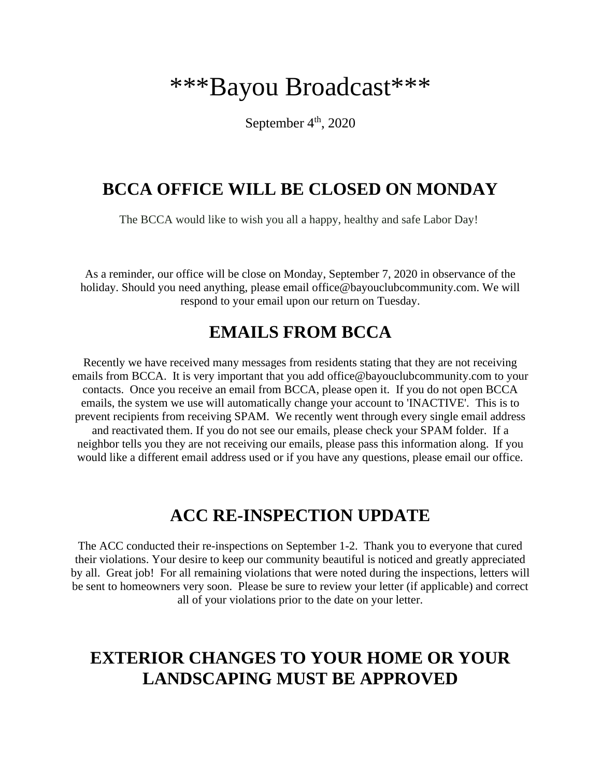# \*\*\*Bayou Broadcast\*\*\*

September  $4<sup>th</sup>$ , 2020

## **BCCA OFFICE WILL BE CLOSED ON MONDAY**

The BCCA would like to wish you all a happy, healthy and safe Labor Day!

As a reminder, our office will be close on Monday, September 7, 2020 in observance of the holiday. Should you need anything, please email office@bayouclubcommunity.com. We will respond to your email upon our return on Tuesday.

### **EMAILS FROM BCCA**

Recently we have received many messages from residents stating that they are not receiving emails from BCCA. It is very important that you add office@bayouclubcommunity.com to your contacts. Once you receive an email from BCCA, please open it. If you do not open BCCA emails, the system we use will automatically change your account to 'INACTIVE'. This is to prevent recipients from receiving SPAM. We recently went through every single email address and reactivated them. If you do not see our emails, please check your SPAM folder. If a neighbor tells you they are not receiving our emails, please pass this information along. If you would like a different email address used or if you have any questions, please email our office.

## **ACC RE-INSPECTION UPDATE**

The ACC conducted their re-inspections on September 1-2. Thank you to everyone that cured their violations. Your desire to keep our community beautiful is noticed and greatly appreciated by all. Great job! For all remaining violations that were noted during the inspections, letters will be sent to homeowners very soon. Please be sure to review your letter (if applicable) and correct all of your violations prior to the date on your letter.

# **EXTERIOR CHANGES TO YOUR HOME OR YOUR LANDSCAPING MUST BE APPROVED**